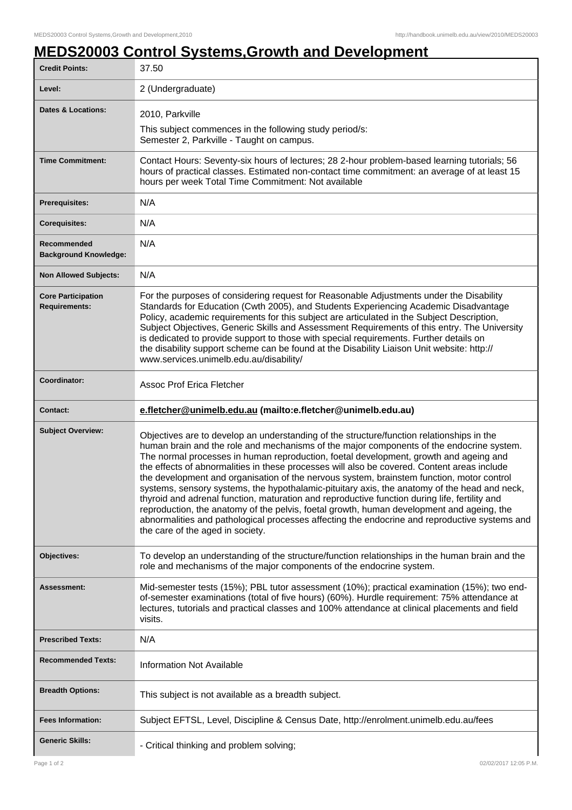## **MEDS20003 Control Systems,Growth and Development**

| <b>Credit Points:</b>                             | 37.50                                                                                                                                                                                                                                                                                                                                                                                                                                                                                                                                                                                                                                                                                                                                                                                                                                                                                                         |
|---------------------------------------------------|---------------------------------------------------------------------------------------------------------------------------------------------------------------------------------------------------------------------------------------------------------------------------------------------------------------------------------------------------------------------------------------------------------------------------------------------------------------------------------------------------------------------------------------------------------------------------------------------------------------------------------------------------------------------------------------------------------------------------------------------------------------------------------------------------------------------------------------------------------------------------------------------------------------|
| Level:                                            | 2 (Undergraduate)                                                                                                                                                                                                                                                                                                                                                                                                                                                                                                                                                                                                                                                                                                                                                                                                                                                                                             |
| <b>Dates &amp; Locations:</b>                     | 2010, Parkville                                                                                                                                                                                                                                                                                                                                                                                                                                                                                                                                                                                                                                                                                                                                                                                                                                                                                               |
|                                                   | This subject commences in the following study period/s:<br>Semester 2, Parkville - Taught on campus.                                                                                                                                                                                                                                                                                                                                                                                                                                                                                                                                                                                                                                                                                                                                                                                                          |
| <b>Time Commitment:</b>                           | Contact Hours: Seventy-six hours of lectures; 28 2-hour problem-based learning tutorials; 56<br>hours of practical classes. Estimated non-contact time commitment: an average of at least 15<br>hours per week Total Time Commitment: Not available                                                                                                                                                                                                                                                                                                                                                                                                                                                                                                                                                                                                                                                           |
| <b>Prerequisites:</b>                             | N/A                                                                                                                                                                                                                                                                                                                                                                                                                                                                                                                                                                                                                                                                                                                                                                                                                                                                                                           |
| <b>Corequisites:</b>                              | N/A                                                                                                                                                                                                                                                                                                                                                                                                                                                                                                                                                                                                                                                                                                                                                                                                                                                                                                           |
| Recommended<br><b>Background Knowledge:</b>       | N/A                                                                                                                                                                                                                                                                                                                                                                                                                                                                                                                                                                                                                                                                                                                                                                                                                                                                                                           |
| <b>Non Allowed Subjects:</b>                      | N/A                                                                                                                                                                                                                                                                                                                                                                                                                                                                                                                                                                                                                                                                                                                                                                                                                                                                                                           |
| <b>Core Participation</b><br><b>Requirements:</b> | For the purposes of considering request for Reasonable Adjustments under the Disability<br>Standards for Education (Cwth 2005), and Students Experiencing Academic Disadvantage<br>Policy, academic requirements for this subject are articulated in the Subject Description,<br>Subject Objectives, Generic Skills and Assessment Requirements of this entry. The University<br>is dedicated to provide support to those with special requirements. Further details on<br>the disability support scheme can be found at the Disability Liaison Unit website: http://<br>www.services.unimelb.edu.au/disability/                                                                                                                                                                                                                                                                                              |
| Coordinator:                                      | <b>Assoc Prof Erica Fletcher</b>                                                                                                                                                                                                                                                                                                                                                                                                                                                                                                                                                                                                                                                                                                                                                                                                                                                                              |
| <b>Contact:</b>                                   | e.fletcher@unimelb.edu.au (mailto:e.fletcher@unimelb.edu.au)                                                                                                                                                                                                                                                                                                                                                                                                                                                                                                                                                                                                                                                                                                                                                                                                                                                  |
| <b>Subject Overview:</b>                          | Objectives are to develop an understanding of the structure/function relationships in the<br>human brain and the role and mechanisms of the major components of the endocrine system.<br>The normal processes in human reproduction, foetal development, growth and ageing and<br>the effects of abnormalities in these processes will also be covered. Content areas include<br>the development and organisation of the nervous system, brainstem function, motor control<br>systems, sensory systems, the hypothalamic-pituitary axis, the anatomy of the head and neck,<br>thyroid and adrenal function, maturation and reproductive function during life, fertility and<br>reproduction, the anatomy of the pelvis, foetal growth, human development and ageing, the<br>abnormalities and pathological processes affecting the endocrine and reproductive systems and<br>the care of the aged in society. |
| Objectives:                                       | To develop an understanding of the structure/function relationships in the human brain and the<br>role and mechanisms of the major components of the endocrine system.                                                                                                                                                                                                                                                                                                                                                                                                                                                                                                                                                                                                                                                                                                                                        |
| Assessment:                                       | Mid-semester tests (15%); PBL tutor assessment (10%); practical examination (15%); two end-<br>of-semester examinations (total of five hours) (60%). Hurdle requirement: 75% attendance at<br>lectures, tutorials and practical classes and 100% attendance at clinical placements and field<br>visits.                                                                                                                                                                                                                                                                                                                                                                                                                                                                                                                                                                                                       |
| <b>Prescribed Texts:</b>                          | N/A                                                                                                                                                                                                                                                                                                                                                                                                                                                                                                                                                                                                                                                                                                                                                                                                                                                                                                           |
| <b>Recommended Texts:</b>                         | <b>Information Not Available</b>                                                                                                                                                                                                                                                                                                                                                                                                                                                                                                                                                                                                                                                                                                                                                                                                                                                                              |
| <b>Breadth Options:</b>                           | This subject is not available as a breadth subject.                                                                                                                                                                                                                                                                                                                                                                                                                                                                                                                                                                                                                                                                                                                                                                                                                                                           |
| <b>Fees Information:</b>                          | Subject EFTSL, Level, Discipline & Census Date, http://enrolment.unimelb.edu.au/fees                                                                                                                                                                                                                                                                                                                                                                                                                                                                                                                                                                                                                                                                                                                                                                                                                          |
| <b>Generic Skills:</b>                            | - Critical thinking and problem solving;                                                                                                                                                                                                                                                                                                                                                                                                                                                                                                                                                                                                                                                                                                                                                                                                                                                                      |